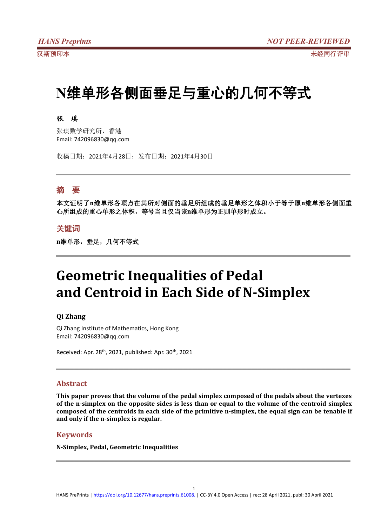# **N**维单形各侧面垂足与重心的几何不等式

#### 张 琪

张琪数学研究所,香港 Email: 742096830@qq.com

收稿日期:2021年4月28日;发布日期:2021年4月30日

## 摘 要

本文证明了**n**维单形各顶点在其所对侧面的垂足所组成的垂足单形之体积小于等于原**n**维单形各侧面重 心所组成的重心单形之体积,等号当且仅当该**n**维单形为正则单形时成立。

### 关键词

n维单形,垂足,几何不等式

# **Geometric Inequalities of Pedal and Centroid in Each Side of N-Simplex**

#### **Qi Zhang**

Qi Zhang Institute of Mathematics, Hong Kong Email: 742096830@qq.com

Received: Apr. 28<sup>th</sup>, 2021, published: Apr. 30<sup>th</sup>, 2021

#### **Abstract**

**This paper proves that the volume of the pedal simplex composed of the pedals about the vertexes of the n-simplex on the opposite sides is less than or equalto the volume of the centroid simplex composed of the centroids in each side of the primitive n-simplex, the equal sign can betenable if and only if the n-simplex is regular.**

#### **Keywords**

**N-Simplex, Pedal, Geometric Inequalities**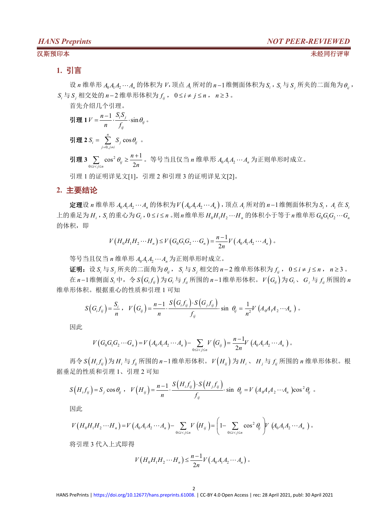#### 汉斯预印本 未经同行评审

### **1.** 引言

设  $n$  维单形  $A_0A_1A_2\cdots A_n$  的体积为  $V$ , 顶点  $A_i$  所对的  $n-1$  维侧面体积为  $S_i$ ,  $S_i$  与  $S_j$  所夹的二面角为 $\theta_i$ , *S*<sub>i</sub> 与 *S*<sub>i</sub> 相交处的 *n*−2 维单形体积为  $f_i$ , 0 ≤ *i* ≠  $j$  ≤ *n*, *n* ≥ 3 。

首先介绍几个引理。

$$
\frac{\mathbf{H}}{\mathbf{H}} \mathbf{1} V = \frac{n-1}{n} \cdot \frac{S_i S_j}{f_{ij}} \cdot \sin \theta_{ij} \, \, \text{and} \, \, \frac{S_i S_j}{f_{ij}} \cdot \sin \theta_{ij} \, \, \text{and} \, \, \frac{S_i S_j}{f_{ij}} \cdot \sin \theta_{ij} \, \, \text{and} \, \, \frac{S_i S_j}{f_{ij}} \cdot \sin \theta_{ij} \, \, \text{and} \, \, \frac{S_i S_j}{f_{ij}} \cdot \sin \theta_{ij} \, \, \text{and} \, \, \frac{S_i S_j}{f_{ij}} \cdot \sin \theta_{ij} \, \, \text{and} \, \, \frac{S_i S_j}{f_{ij}} \cdot \sin \theta_{ij} \, \, \text{and} \, \, \frac{S_i S_j}{f_{ij}} \cdot \sin \theta_{ij} \, \, \text{and} \, \, \frac{S_i S_j}{f_{ij}} \cdot \sin \theta_{ij} \, \, \text{and} \, \, \frac{S_i S_j}{f_{ij}} \cdot \sin \theta_{ij} \, \, \text{and} \, \, \frac{S_i S_j}{f_{ij}} \cdot \sin \theta_{ij} \, \, \text{and} \, \, \frac{S_i S_j}{f_{ij}} \cdot \sin \theta_{ij} \, \, \text{and} \, \, \frac{S_i S_j}{f_{ij}} \cdot \sin \theta_{ij} \, \, \text{and} \, \, \frac{S_i S_j}{f_{ij}} \cdot \sin \theta_{ij} \, \, \text{and} \, \, \frac{S_i S_j}{f_{ij}} \cdot \sin \theta_{ij} \, \, \text{and} \, \, \frac{S_i S_j}{f_{ij}} \cdot \sin \theta_{ij} \, \, \text{and} \, \, \frac{S_i S_j}{f_{ij}} \cdot \sin \theta_{ij} \, \, \text{and} \, \, \frac{S_i S_j}{f_{ij}} \cdot \sin \theta_{ij} \, \, \text{and} \, \, \frac{S_i S_j}{f_{ij}} \cdot \sin \theta_{ij} \, \, \text{and} \, \, \frac{S_i S_j}{f_{ij}} \cdot \sin \theta_{ij} \, \, \text{and} \, \, \frac{S_i S_j}{f_{ij}} \cdot \sin \theta_{ij} \, \, \text{and} \, \, \frac{S_i S_j}{f_{ij}} \
$$

$$
J = \sum_{j=0, j\neq i} S_j \cos \theta_{ij}.
$$

引理 3  $\sum\limits_{0\leq i < j \leq n}$   $\cos^2\theta_{ij} \geq \frac{n+1}{2n}$  。 等号当且仅当 *n* 维单形  $A_0A_1A_2\cdots A_n$  为正则单形时成立。

引理 1 的证明详见文[1],引理 2 和引理 3 的证明详见文[2]。

### **2.** 主要结论

 $\hat{E}$ 理设 *n* 维单形  $A_0A_1A_2\cdots A_n$  的体积为 $V(A_0A_1A_2\cdots A_n)$ , 顶点  $A_i$  所对的 *n*−1 维侧面体积为 *S*, *, A*<sub>i</sub> 在 *S*<sub>i</sub> 上的垂足为  $H_i$ ,  $S_i$  的重心为  $G_i$ ,  $0 \le i \le n$  。则  $n$  维单形  $H_0H_1H_2\cdots H_n$  的体积小于等于  $n$  维单形  $G_0G_1G_2\cdots G_n$ 的体积,即

$$
V\left(H_0H_1H_2\cdots H_n\right)\leq V\left(G_0G_1G_2\cdots G_n\right)=\frac{n-1}{2n}V\left(A_0A_1A_2\cdots A_n\right).
$$

等号当且仅当 *n* 维单形 *A*0*A*1*A*<sup>2</sup> *A<sup>n</sup>* 为正则单形时成立。

证明:设 *<sup>i</sup> S* 与 *<sup>j</sup> S* 所夹的二面角为*ij* , *<sup>i</sup> S* 与 *<sup>j</sup> S* 相交的 *n* 2 维单形体积为 *ij f* , 0 *i j n* , *n* 3 。

在 n-1维侧面 S<sub>i</sub> 中,令 S $(G_i f_{ij})$  为 G<sub>i</sub> 与  $f_{ij}$  所围的 n-1维单形体积。 V $(G_{ij})$  为 G<sub>i</sub> 、 G <sub>i</sub> 与  $f_{ij}$  所围的 n 维单形体积。根据重心的性质和引理 1 可知

$$
S\big(G_i f_{ij}\big) = \frac{S_i}{n}, \quad V\big(G_{ij}\big) = \frac{n-1}{n} \cdot \frac{S\big(G_i f_{ij}\big) \cdot S\big(G_j f_{ij}\big)}{f_{ij}} \cdot \sin \theta_{ij} = \frac{1}{n^2} V\big(A_0 A_1 A_2 \cdots A_n\big) \cdot
$$

因此

$$
V(G_0G_1G_2\cdots G_n) = V(A_0A_1A_2\cdots A_n) - \sum_{0 \le i < j \le n} V(G_{ij}) = \frac{n-1}{2n}V(A_0A_1A_2\cdots A_n).
$$

再令 *S H<sup>i</sup> f ij* 为 *H<sup>i</sup>* 与 *ij f* 所围的 *n* 1维单形体积。*V Hij* 为 *H<sup>i</sup>* 、 *H <sup>j</sup>* 与 *ij f* 所围的 *n* 维单形体积。根 据垂足的性质和引理 1、引理 2 可知

$$
S\left(H_i f_{ij}\right) = S_j \cos \theta_{ij} \ , \quad V\left(H_{ij}\right) = \frac{n-1}{n} \cdot \frac{S\left(H_i f_{ij}\right) \cdot S\left(H_j f_{ij}\right)}{f_{ij}} \cdot \sin \theta_{ij} = V\left(A_0 A_1 A_2 \cdots A_n\right) \cos^2 \theta_{ij} \ .
$$

因此

$$
V\left(H_0H_1H_2\cdots H_n\right)=V\left(A_0A_1A_2\cdots A_n\right)-\sum_{0\leq i
$$

将引理 3 代入上式即得

$$
V\left(H_0H_1H_2\cdots H_n\right)\leq \frac{n-1}{2n}V\left(A_0A_1A_2\cdots A_n\right).
$$